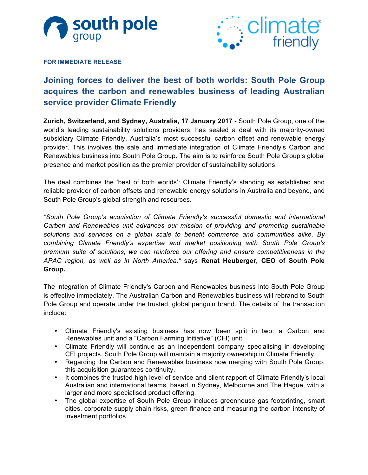



#### **FOR IMMEDIATE RELEASE**

# **Joining forces to deliver the best of both worlds: South Pole Group acquires the carbon and renewables business of leading Australian service provider Climate Friendly**

**Zurich, Switzerland, and Sydney, Australia, 17 January 2017** - South Pole Group, one of the world's leading sustainability solutions providers, has sealed a deal with its majority-owned subsidiary Climate Friendly, Australia's most successful carbon offset and renewable energy provider. This involves the sale and immediate integration of Climate Friendly's Carbon and Renewables business into South Pole Group. The aim is to reinforce South Pole Group's global presence and market position as the premier provider of sustainability solutions.

The deal combines the 'best of both worlds': Climate Friendly's standing as established and reliable provider of carbon offsets and renewable energy solutions in Australia and beyond, and South Pole Group's global strength and resources.

*"South Pole Group's acquisition of Climate Friendly's successful domestic and international Carbon and Renewables unit advances our mission of providing and promoting sustainable solutions and services on a global scale to benefit commerce and communities alike. By combining Climate Friendly's expertise and market positioning with South Pole Group's premium suite of solutions, we can reinforce our offering and ensure competitiveness in the APAC region, as well as in North America,"* says **Renat Heuberger, CEO of South Pole Group.**

The integration of Climate Friendly's Carbon and Renewables business into South Pole Group is effective immediately. The Australian Carbon and Renewables business will rebrand to South Pole Group and operate under the trusted, global penguin brand. The details of the transaction include:

- Climate Friendly's existing business has now been split in two: a Carbon and Renewables unit and a "Carbon Farming Initiative" (CFI) unit.
- Climate Friendly will continue as an independent company specialising in developing CFI projects. South Pole Group will maintain a majority ownership in Climate Friendly.
- Regarding the Carbon and Renewables business now merging with South Pole Group, this acquisition guarantees continuity.
- It combines the trusted high level of service and client rapport of Climate Friendly's local Australian and international teams, based in Sydney, Melbourne and The Hague, with a larger and more specialised product offering.
- The global expertise of South Pole Group includes greenhouse gas footprinting, smart cities, corporate supply chain risks, green finance and measuring the carbon intensity of investment portfolios.